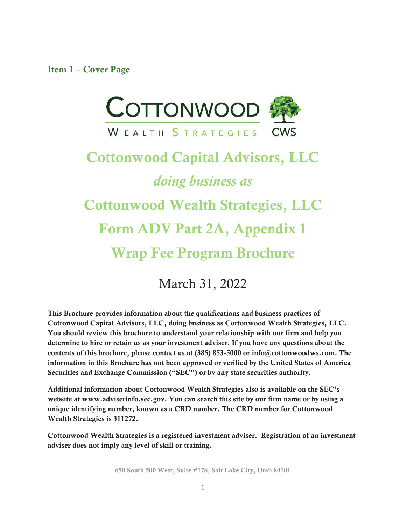Item 1 – Cover Page



# Cottonwood Capital Advisors, LLC *doing business as* Cottonwood Wealth Strategies, LLC Form ADV Part 2A, Appendix 1 Wrap Fee Program Brochure

March 31, 2022

This Brochure provides information about the qualifications and business practices of Cottonwood Capital Advisors, LLC, doing business as Cottonwood Wealth Strategies, LLC. You should review this brochure to understand your relationship with our firm and help you determine to hire or retain us as your investment adviser. If you have any questions about the contents of this brochure, please contact us at (385) 853-5000 or info@cottonwoodws.com. The information in this Brochure has not been approved or verified by the United States of America Securities and Exchange Commission ("SEC") or by any state securities authority.

Additional information about Cottonwood Wealth Strategies also is available on the SEC's website at www.adviserinfo.sec.gov. You can search this site by our firm name or by using a unique identifying number, known as a CRD number. The CRD number for Cottonwood Wealth Strategies is 311272.

Cottonwood Wealth Strategies is a registered investment adviser. Registration of an investment adviser does not imply any level of skill or training.

650 South 500 West, Suite #176, Salt Lake City, Utah 84101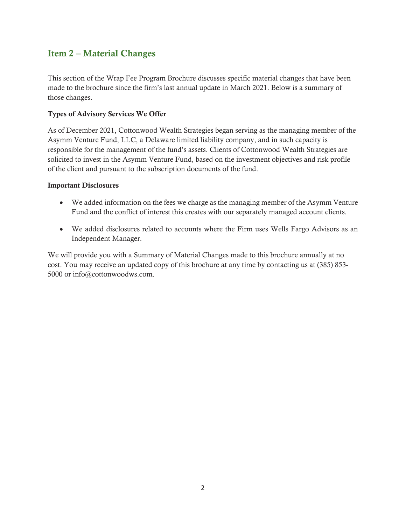## Item 2 – Material Changes

This section of the Wrap Fee Program Brochure discusses specific material changes that have been made to the brochure since the firm's last annual update in March 2021. Below is a summary of those changes.

#### Types of Advisory Services We Offer

As of December 2021, Cottonwood Wealth Strategies began serving as the managing member of the Asymm Venture Fund, LLC, a Delaware limited liability company, and in such capacity is responsible for the management of the fund's assets. Clients of Cottonwood Wealth Strategies are solicited to invest in the Asymm Venture Fund, based on the investment objectives and risk profile of the client and pursuant to the subscription documents of the fund.

#### Important Disclosures

- We added information on the fees we charge as the managing member of the Asymm Venture Fund and the conflict of interest this creates with our separately managed account clients.
- We added disclosures related to accounts where the Firm uses Wells Fargo Advisors as an Independent Manager.

We will provide you with a Summary of Material Changes made to this brochure annually at no cost. You may receive an updated copy of this brochure at any time by contacting us at (385) 853- 5000 or info@cottonwoodws.com.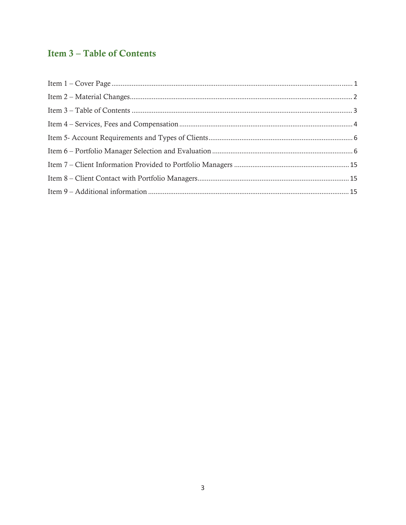## **Item 3-Table of Contents**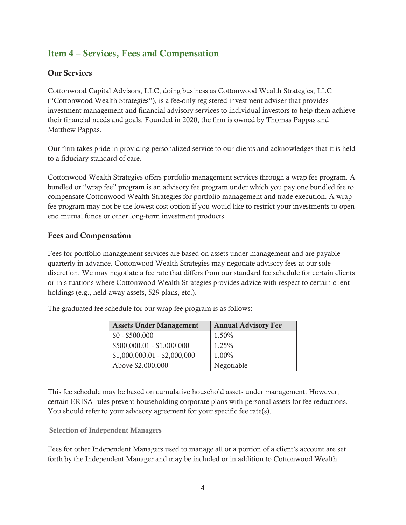## Item 4 – Services, Fees and Compensation

#### Our Services

Cottonwood Capital Advisors, LLC, doing business as Cottonwood Wealth Strategies, LLC ("Cottonwood Wealth Strategies"), is a fee-only registered investment adviser that provides investment management and financial advisory services to individual investors to help them achieve their financial needs and goals. Founded in 2020, the firm is owned by Thomas Pappas and Matthew Pappas.

Our firm takes pride in providing personalized service to our clients and acknowledges that it is held to a fiduciary standard of care.

Cottonwood Wealth Strategies offers portfolio management services through a wrap fee program. A bundled or "wrap fee" program is an advisory fee program under which you pay one bundled fee to compensate Cottonwood Wealth Strategies for portfolio management and trade execution. A wrap fee program may not be the lowest cost option if you would like to restrict your investments to openend mutual funds or other long-term investment products.

#### Fees and Compensation

Fees for portfolio management services are based on assets under management and are payable quarterly in advance. Cottonwood Wealth Strategies may negotiate advisory fees at our sole discretion. We may negotiate a fee rate that differs from our standard fee schedule for certain clients or in situations where Cottonwood Wealth Strategies provides advice with respect to certain client holdings (e.g., held-away assets, 529 plans, etc.).

| <b>Assets Under Management</b> | <b>Annual Advisory Fee</b> |
|--------------------------------|----------------------------|
| $$0 - $500,000$                | 1.50%                      |
| $$500,000.01 - $1,000,000$     | 1.25%                      |
| $$1,000,000.01 - $2,000,000$   | 1.00%                      |
| Above \$2,000,000              | Negotiable                 |

The graduated fee schedule for our wrap fee program is as follows:

This fee schedule may be based on cumulative household assets under management. However, certain ERISA rules prevent householding corporate plans with personal assets for fee reductions. You should refer to your advisory agreement for your specific fee rate(s).

#### Selection of Independent Managers

Fees for other Independent Managers used to manage all or a portion of a client's account are set forth by the Independent Manager and may be included or in addition to Cottonwood Wealth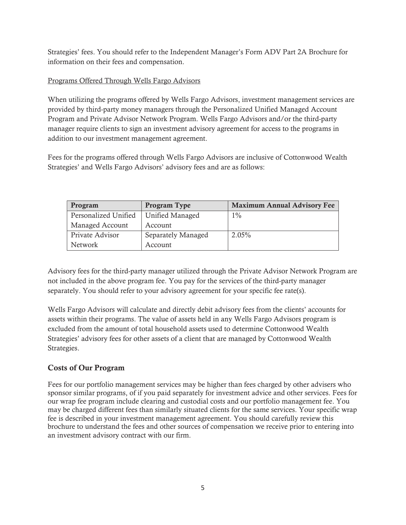Strategies' fees. You should refer to the Independent Manager's Form ADV Part 2A Brochure for information on their fees and compensation.

#### Programs Offered Through Wells Fargo Advisors

When utilizing the programs offered by Wells Fargo Advisors, investment management services are provided by third-party money managers through the Personalized Unified Managed Account Program and Private Advisor Network Program. Wells Fargo Advisors and/or the third-party manager require clients to sign an investment advisory agreement for access to the programs in addition to our investment management agreement.

Fees for the programs offered through Wells Fargo Advisors are inclusive of Cottonwood Wealth Strategies' and Wells Fargo Advisors' advisory fees and are as follows:

| Program              | <b>Program Type</b> | <b>Maximum Annual Advisory Fee</b> |
|----------------------|---------------------|------------------------------------|
| Personalized Unified | Unified Managed     | $1\%$                              |
| Managed Account      | Account             |                                    |
| Private Advisor      | Separately Managed  | 2.05%                              |
| Network              | Account             |                                    |

Advisory fees for the third-party manager utilized through the Private Advisor Network Program are not included in the above program fee. You pay for the services of the third-party manager separately. You should refer to your advisory agreement for your specific fee rate(s).

Wells Fargo Advisors will calculate and directly debit advisory fees from the clients' accounts for assets within their programs. The value of assets held in any Wells Fargo Advisors program is excluded from the amount of total household assets used to determine Cottonwood Wealth Strategies' advisory fees for other assets of a client that are managed by Cottonwood Wealth Strategies.

#### Costs of Our Program

Fees for our portfolio management services may be higher than fees charged by other advisers who sponsor similar programs, of if you paid separately for investment advice and other services. Fees for our wrap fee program include clearing and custodial costs and our portfolio management fee. You may be charged different fees than similarly situated clients for the same services. Your specific wrap fee is described in your investment management agreement. You should carefully review this brochure to understand the fees and other sources of compensation we receive prior to entering into an investment advisory contract with our firm.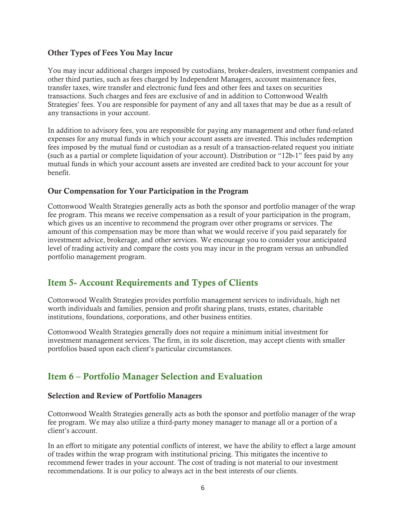#### Other Types of Fees You May Incur

You may incur additional charges imposed by custodians, broker-dealers, investment companies and other third parties, such as fees charged by Independent Managers, account maintenance fees, transfer taxes, wire transfer and electronic fund fees and other fees and taxes on securities transactions. Such charges and fees are exclusive of and in addition to Cottonwood Wealth Strategies' fees. You are responsible for payment of any and all taxes that may be due as a result of any transactions in your account.

In addition to advisory fees, you are responsible for paying any management and other fund-related expenses for any mutual funds in which your account assets are invested. This includes redemption fees imposed by the mutual fund or custodian as a result of a transaction-related request you initiate (such as a partial or complete liquidation of your account). Distribution or "12b-1" fees paid by any mutual funds in which your account assets are invested are credited back to your account for your benefit.

#### Our Compensation for Your Participation in the Program

Cottonwood Wealth Strategies generally acts as both the sponsor and portfolio manager of the wrap fee program. This means we receive compensation as a result of your participation in the program, which gives us an incentive to recommend the program over other programs or services. The amount of this compensation may be more than what we would receive if you paid separately for investment advice, brokerage, and other services. We encourage you to consider your anticipated level of trading activity and compare the costs you may incur in the program versus an unbundled portfolio management program.

## Item 5- Account Requirements and Types of Clients

Cottonwood Wealth Strategies provides portfolio management services to individuals, high net worth individuals and families, pension and profit sharing plans, trusts, estates, charitable institutions, foundations, corporations, and other business entities.

Cottonwood Wealth Strategies generally does not require a minimum initial investment for investment management services. The firm, in its sole discretion, may accept clients with smaller portfolios based upon each client's particular circumstances.

## Item 6 – Portfolio Manager Selection and Evaluation

#### Selection and Review of Portfolio Managers

Cottonwood Wealth Strategies generally acts as both the sponsor and portfolio manager of the wrap fee program. We may also utilize a third-party money manager to manage all or a portion of a client's account.

In an effort to mitigate any potential conflicts of interest, we have the ability to effect a large amount of trades within the wrap program with institutional pricing. This mitigates the incentive to recommend fewer trades in your account. The cost of trading is not material to our investment recommendations. It is our policy to always act in the best interests of our clients.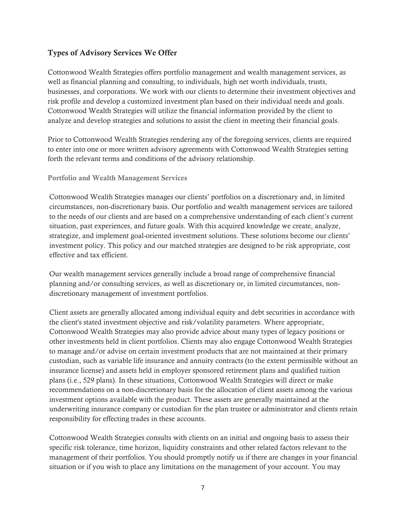#### Types of Advisory Services We Offer

Cottonwood Wealth Strategies offers portfolio management and wealth management services, as well as financial planning and consulting, to individuals, high net worth individuals, trusts, businesses, and corporations. We work with our clients to determine their investment objectives and risk profile and develop a customized investment plan based on their individual needs and goals. Cottonwood Wealth Strategies will utilize the financial information provided by the client to analyze and develop strategies and solutions to assist the client in meeting their financial goals.

Prior to Cottonwood Wealth Strategies rendering any of the foregoing services, clients are required to enter into one or more written advisory agreements with Cottonwood Wealth Strategies setting forth the relevant terms and conditions of the advisory relationship.

#### Portfolio and Wealth Management Services

Cottonwood Wealth Strategies manages our clients' portfolios on a discretionary and, in limited circumstances, non-discretionary basis. Our portfolio and wealth management services are tailored to the needs of our clients and are based on a comprehensive understanding of each client's current situation, past experiences, and future goals. With this acquired knowledge we create, analyze, strategize, and implement goal-oriented investment solutions. These solutions become our clients' investment policy. This policy and our matched strategies are designed to be risk appropriate, cost effective and tax efficient.

Our wealth management services generally include a broad range of comprehensive financial planning and/or consulting services, as well as discretionary or, in limited circumstances, nondiscretionary management of investment portfolios.

Client assets are generally allocated among individual equity and debt securities in accordance with the client's stated investment objective and risk/volatility parameters. Where appropriate, Cottonwood Wealth Strategies may also provide advice about many types of legacy positions or other investments held in client portfolios. Clients may also engage Cottonwood Wealth Strategies to manage and/or advise on certain investment products that are not maintained at their primary custodian, such as variable life insurance and annuity contracts (to the extent permissible without an insurance license) and assets held in employer sponsored retirement plans and qualified tuition plans (i.e., 529 plans). In these situations, Cottonwood Wealth Strategies will direct or make recommendations on a non-discretionary basis for the allocation of client assets among the various investment options available with the product. These assets are generally maintained at the underwriting insurance company or custodian for the plan trustee or administrator and clients retain responsibility for effecting trades in these accounts.

Cottonwood Wealth Strategies consults with clients on an initial and ongoing basis to assess their specific risk tolerance, time horizon, liquidity constraints and other related factors relevant to the management of their portfolios. You should promptly notify us if there are changes in your financial situation or if you wish to place any limitations on the management of your account. You may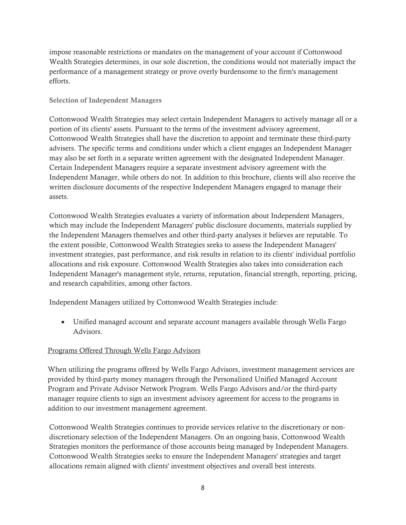impose reasonable restrictions or mandates on the management of your account if Cottonwood Wealth Strategies determines, in our sole discretion, the conditions would not materially impact the performance of a management strategy or prove overly burdensome to the firm's management efforts.

#### Selection of Independent Managers

Cottonwood Wealth Strategies may select certain Independent Managers to actively manage all or a portion of its clients' assets. Pursuant to the terms of the investment advisory agreement, Cottonwood Wealth Strategies shall have the discretion to appoint and terminate these third-party advisers. The specific terms and conditions under which a client engages an Independent Manager may also be set forth in a separate written agreement with the designated Independent Manager. Certain Independent Managers require a separate investment advisory agreement with the Independent Manager, while others do not. In addition to this brochure, clients will also receive the written disclosure documents of the respective Independent Managers engaged to manage their assets.

Cottonwood Wealth Strategies evaluates a variety of information about Independent Managers, which may include the Independent Managers' public disclosure documents, materials supplied by the Independent Managers themselves and other third-party analyses it believes are reputable. To the extent possible, Cottonwood Wealth Strategies seeks to assess the Independent Managers' investment strategies, past performance, and risk results in relation to its clients' individual portfolio allocations and risk exposure. Cottonwood Wealth Strategies also takes into consideration each Independent Manager's management style, returns, reputation, financial strength, reporting, pricing, and research capabilities, among other factors.

Independent Managers utilized by Cottonwood Wealth Strategies include:

• Unified managed account and separate account managers available through Wells Fargo Advisors.

#### Programs Offered Through Wells Fargo Advisors

When utilizing the programs offered by Wells Fargo Advisors, investment management services are provided by third-party money managers through the Personalized Unified Managed Account Program and Private Advisor Network Program. Wells Fargo Advisors and/or the third-party manager require clients to sign an investment advisory agreement for access to the programs in addition to our investment management agreement.

Cottonwood Wealth Strategies continues to provide services relative to the discretionary or nondiscretionary selection of the Independent Managers. On an ongoing basis, Cottonwood Wealth Strategies monitors the performance of those accounts being managed by Independent Managers. Cottonwood Wealth Strategies seeks to ensure the Independent Managers' strategies and target allocations remain aligned with clients' investment objectives and overall best interests.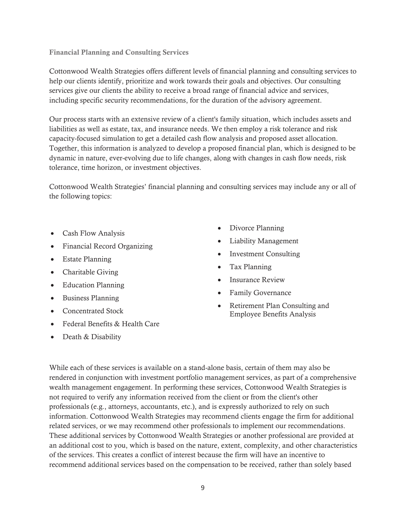#### Financial Planning and Consulting Services

Cottonwood Wealth Strategies offers different levels of financial planning and consulting services to help our clients identify, prioritize and work towards their goals and objectives. Our consulting services give our clients the ability to receive a broad range of financial advice and services, including specific security recommendations, for the duration of the advisory agreement.

Our process starts with an extensive review of a client's family situation, which includes assets and liabilities as well as estate, tax, and insurance needs. We then employ a risk tolerance and risk capacity-focused simulation to get a detailed cash flow analysis and proposed asset allocation. Together, this information is analyzed to develop a proposed financial plan, which is designed to be dynamic in nature, ever-evolving due to life changes, along with changes in cash flow needs, risk tolerance, time horizon, or investment objectives.

Cottonwood Wealth Strategies' financial planning and consulting services may include any or all of the following topics:

- Cash Flow Analysis
- $\bullet$  Financial Record Organizing
- $\bullet$  Estate Planning
- $\bullet$  Charitable Giving
- Education Planning
- Business Planning
- Concentrated Stock
- Federal Benefits & Health Care
- Death & Disability
- Divorce Planning
- Liability Management
- Investment Consulting
- Tax Planning
- Insurance Review
- Family Governance
- Retirement Plan Consulting and Employee Benefits Analysis

While each of these services is available on a stand-alone basis, certain of them may also be rendered in conjunction with investment portfolio management services, as part of a comprehensive wealth management engagement. In performing these services, Cottonwood Wealth Strategies is not required to verify any information received from the client or from the client's other professionals (e.g., attorneys, accountants, etc.), and is expressly authorized to rely on such information. Cottonwood Wealth Strategies may recommend clients engage the firm for additional related services, or we may recommend other professionals to implement our recommendations. These additional services by Cottonwood Wealth Strategies or another professional are provided at an additional cost to you, which is based on the nature, extent, complexity, and other characteristics of the services. This creates a conflict of interest because the firm will have an incentive to recommend additional services based on the compensation to be received, rather than solely based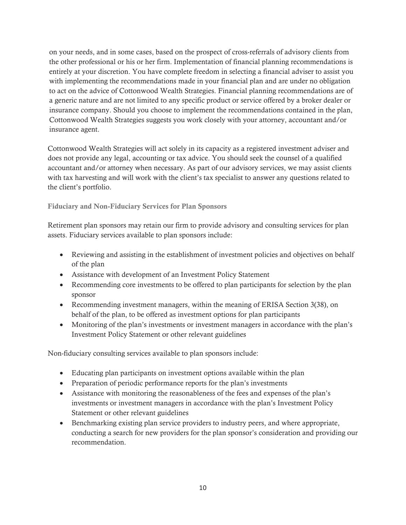on your needs, and in some cases, based on the prospect of cross-referrals of advisory clients from the other professional or his or her firm. Implementation of financial planning recommendations is entirely at your discretion. You have complete freedom in selecting a financial adviser to assist you with implementing the recommendations made in your financial plan and are under no obligation to act on the advice of Cottonwood Wealth Strategies. Financial planning recommendations are of a generic nature and are not limited to any specific product or service offered by a broker dealer or insurance company. Should you choose to implement the recommendations contained in the plan, Cottonwood Wealth Strategies suggests you work closely with your attorney, accountant and/or insurance agent.

Cottonwood Wealth Strategies will act solely in its capacity as a registered investment adviser and does not provide any legal, accounting or tax advice. You should seek the counsel of a qualified accountant and/or attorney when necessary. As part of our advisory services, we may assist clients with tax harvesting and will work with the client's tax specialist to answer any questions related to the client's portfolio.

#### Fiduciary and Non-Fiduciary Services for Plan Sponsors

Retirement plan sponsors may retain our firm to provide advisory and consulting services for plan assets. Fiduciary services available to plan sponsors include:

- Reviewing and assisting in the establishment of investment policies and objectives on behalf of the plan
- Assistance with development of an Investment Policy Statement
- Recommending core investments to be offered to plan participants for selection by the plan sponsor
- Recommending investment managers, within the meaning of ERISA Section 3(38), on behalf of the plan, to be offered as investment options for plan participants
- Monitoring of the plan's investments or investment managers in accordance with the plan's Investment Policy Statement or other relevant guidelines

Non-fiduciary consulting services available to plan sponsors include:

- Educating plan participants on investment options available within the plan
- Preparation of periodic performance reports for the plan's investments
- Assistance with monitoring the reasonableness of the fees and expenses of the plan's investments or investment managers in accordance with the plan's Investment Policy Statement or other relevant guidelines
- Benchmarking existing plan service providers to industry peers, and where appropriate, conducting a search for new providers for the plan sponsor's consideration and providing our recommendation.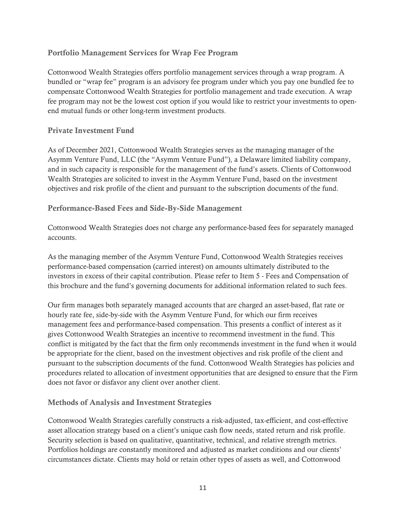#### Portfolio Management Services for Wrap Fee Program

Cottonwood Wealth Strategies offers portfolio management services through a wrap program. A bundled or "wrap fee" program is an advisory fee program under which you pay one bundled fee to compensate Cottonwood Wealth Strategies for portfolio management and trade execution. A wrap fee program may not be the lowest cost option if you would like to restrict your investments to openend mutual funds or other long-term investment products.

#### Private Investment Fund

As of December 2021, Cottonwood Wealth Strategies serves as the managing manager of the Asymm Venture Fund, LLC (the "Asymm Venture Fund"), a Delaware limited liability company, and in such capacity is responsible for the management of the fund's assets. Clients of Cottonwood Wealth Strategies are solicited to invest in the Asymm Venture Fund, based on the investment objectives and risk profile of the client and pursuant to the subscription documents of the fund.

#### Performance-Based Fees and Side-By-Side Management

Cottonwood Wealth Strategies does not charge any performance-based fees for separately managed accounts.

As the managing member of the Asymm Venture Fund, Cottonwood Wealth Strategies receives performance-based compensation (carried interest) on amounts ultimately distributed to the investors in excess of their capital contribution. Please refer to Item 5 - Fees and Compensation of this brochure and the fund's governing documents for additional information related to such fees.

Our firm manages both separately managed accounts that are charged an asset-based, flat rate or hourly rate fee, side-by-side with the Asymm Venture Fund, for which our firm receives management fees and performance-based compensation. This presents a conflict of interest as it gives Cottonwood Wealth Strategies an incentive to recommend investment in the fund. This conflict is mitigated by the fact that the firm only recommends investment in the fund when it would be appropriate for the client, based on the investment objectives and risk profile of the client and pursuant to the subscription documents of the fund. Cottonwood Wealth Strategies has policies and procedures related to allocation of investment opportunities that are designed to ensure that the Firm does not favor or disfavor any client over another client.

#### Methods of Analysis and Investment Strategies

Cottonwood Wealth Strategies carefully constructs a risk-adjusted, tax-efficient, and cost-effective asset allocation strategy based on a client's unique cash flow needs, stated return and risk profile. Security selection is based on qualitative, quantitative, technical, and relative strength metrics. Portfolios holdings are constantly monitored and adjusted as market conditions and our clients' circumstances dictate. Clients may hold or retain other types of assets as well, and Cottonwood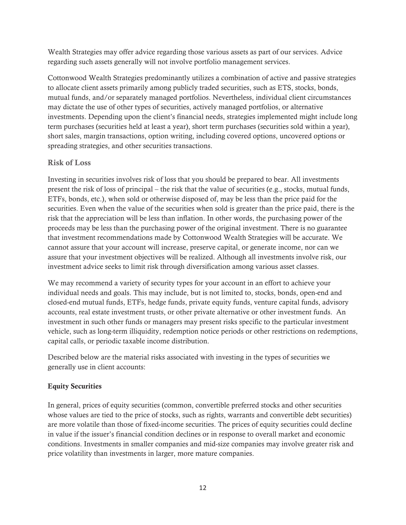Wealth Strategies may offer advice regarding those various assets as part of our services. Advice regarding such assets generally will not involve portfolio management services.

Cottonwood Wealth Strategies predominantly utilizes a combination of active and passive strategies to allocate client assets primarily among publicly traded securities, such as ETS, stocks, bonds, mutual funds, and/or separately managed portfolios. Nevertheless, individual client circumstances may dictate the use of other types of securities, actively managed portfolios, or alternative investments. Depending upon the client's financial needs, strategies implemented might include long term purchases (securities held at least a year), short term purchases (securities sold within a year), short sales, margin transactions, option writing, including covered options, uncovered options or spreading strategies, and other securities transactions.

#### Risk of Loss

Investing in securities involves risk of loss that you should be prepared to bear. All investments present the risk of loss of principal – the risk that the value of securities (e.g., stocks, mutual funds, ETFs, bonds, etc.), when sold or otherwise disposed of, may be less than the price paid for the securities. Even when the value of the securities when sold is greater than the price paid, there is the risk that the appreciation will be less than inflation. In other words, the purchasing power of the proceeds may be less than the purchasing power of the original investment. There is no guarantee that investment recommendations made by Cottonwood Wealth Strategies will be accurate. We cannot assure that your account will increase, preserve capital, or generate income, nor can we assure that your investment objectives will be realized. Although all investments involve risk, our investment advice seeks to limit risk through diversification among various asset classes.

We may recommend a variety of security types for your account in an effort to achieve your individual needs and goals. This may include, but is not limited to, stocks, bonds, open-end and closed-end mutual funds, ETFs, hedge funds, private equity funds, venture capital funds, advisory accounts, real estate investment trusts, or other private alternative or other investment funds. An investment in such other funds or managers may present risks specific to the particular investment vehicle, such as long-term illiquidity, redemption notice periods or other restrictions on redemptions, capital calls, or periodic taxable income distribution.

Described below are the material risks associated with investing in the types of securities we generally use in client accounts:

#### Equity Securities

In general, prices of equity securities (common, convertible preferred stocks and other securities whose values are tied to the price of stocks, such as rights, warrants and convertible debt securities) are more volatile than those of fixed-income securities. The prices of equity securities could decline in value if the issuer's financial condition declines or in response to overall market and economic conditions. Investments in smaller companies and mid-size companies may involve greater risk and price volatility than investments in larger, more mature companies.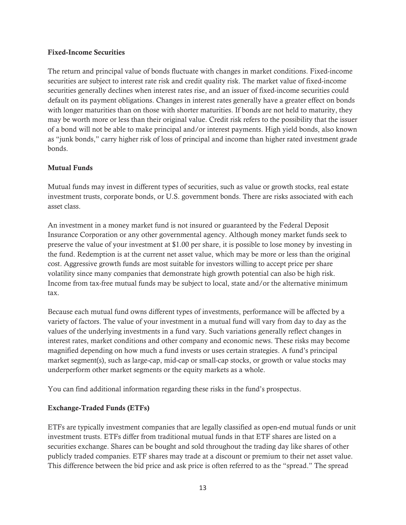#### Fixed-Income Securities

The return and principal value of bonds fluctuate with changes in market conditions. Fixed-income securities are subject to interest rate risk and credit quality risk. The market value of fixed-income securities generally declines when interest rates rise, and an issuer of fixed-income securities could default on its payment obligations. Changes in interest rates generally have a greater effect on bonds with longer maturities than on those with shorter maturities. If bonds are not held to maturity, they may be worth more or less than their original value. Credit risk refers to the possibility that the issuer of a bond will not be able to make principal and/or interest payments. High yield bonds, also known as "junk bonds," carry higher risk of loss of principal and income than higher rated investment grade bonds.

#### Mutual Funds

Mutual funds may invest in different types of securities, such as value or growth stocks, real estate investment trusts, corporate bonds, or U.S. government bonds. There are risks associated with each asset class.

An investment in a money market fund is not insured or guaranteed by the Federal Deposit Insurance Corporation or any other governmental agency. Although money market funds seek to preserve the value of your investment at \$1.00 per share, it is possible to lose money by investing in the fund. Redemption is at the current net asset value, which may be more or less than the original cost. Aggressive growth funds are most suitable for investors willing to accept price per share volatility since many companies that demonstrate high growth potential can also be high risk. Income from tax-free mutual funds may be subject to local, state and/or the alternative minimum tax.

Because each mutual fund owns different types of investments, performance will be affected by a variety of factors. The value of your investment in a mutual fund will vary from day to day as the values of the underlying investments in a fund vary. Such variations generally reflect changes in interest rates, market conditions and other company and economic news. These risks may become magnified depending on how much a fund invests or uses certain strategies. A fund's principal market segment(s), such as large-cap, mid-cap or small-cap stocks, or growth or value stocks may underperform other market segments or the equity markets as a whole.

You can find additional information regarding these risks in the fund's prospectus.

#### Exchange-Traded Funds (ETFs)

ETFs are typically investment companies that are legally classified as open-end mutual funds or unit investment trusts. ETFs differ from traditional mutual funds in that ETF shares are listed on a securities exchange. Shares can be bought and sold throughout the trading day like shares of other publicly traded companies. ETF shares may trade at a discount or premium to their net asset value. This difference between the bid price and ask price is often referred to as the "spread." The spread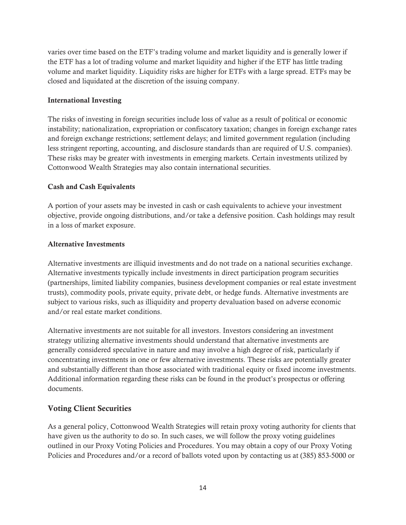varies over time based on the ETF's trading volume and market liquidity and is generally lower if the ETF has a lot of trading volume and market liquidity and higher if the ETF has little trading volume and market liquidity. Liquidity risks are higher for ETFs with a large spread. ETFs may be closed and liquidated at the discretion of the issuing company.

#### International Investing

The risks of investing in foreign securities include loss of value as a result of political or economic instability; nationalization, expropriation or confiscatory taxation; changes in foreign exchange rates and foreign exchange restrictions; settlement delays; and limited government regulation (including less stringent reporting, accounting, and disclosure standards than are required of U.S. companies). These risks may be greater with investments in emerging markets. Certain investments utilized by Cottonwood Wealth Strategies may also contain international securities.

#### Cash and Cash Equivalents

A portion of your assets may be invested in cash or cash equivalents to achieve your investment objective, provide ongoing distributions, and/or take a defensive position. Cash holdings may result in a loss of market exposure.

#### Alternative Investments

Alternative investments are illiquid investments and do not trade on a national securities exchange. Alternative investments typically include investments in direct participation program securities (partnerships, limited liability companies, business development companies or real estate investment trusts), commodity pools, private equity, private debt, or hedge funds. Alternative investments are subject to various risks, such as illiquidity and property devaluation based on adverse economic and/or real estate market conditions.

Alternative investments are not suitable for all investors. Investors considering an investment strategy utilizing alternative investments should understand that alternative investments are generally considered speculative in nature and may involve a high degree of risk, particularly if concentrating investments in one or few alternative investments. These risks are potentially greater and substantially different than those associated with traditional equity or fixed income investments. Additional information regarding these risks can be found in the product's prospectus or offering documents.

#### Voting Client Securities

As a general policy, Cottonwood Wealth Strategies will retain proxy voting authority for clients that have given us the authority to do so. In such cases, we will follow the proxy voting guidelines outlined in our Proxy Voting Policies and Procedures. You may obtain a copy of our Proxy Voting Policies and Procedures and/or a record of ballots voted upon by contacting us at (385) 853-5000 or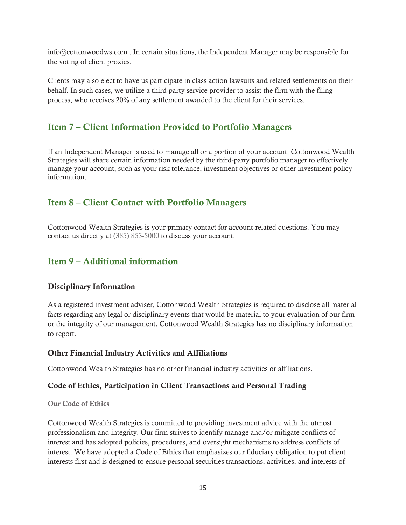info@cottonwoodws.com . In certain situations, the Independent Manager may be responsible for the voting of client proxies.

Clients may also elect to have us participate in class action lawsuits and related settlements on their behalf. In such cases, we utilize a third-party service provider to assist the firm with the filing process, who receives 20% of any settlement awarded to the client for their services.

## Item 7 – Client Information Provided to Portfolio Managers

If an Independent Manager is used to manage all or a portion of your account, Cottonwood Wealth Strategies will share certain information needed by the third-party portfolio manager to effectively manage your account, such as your risk tolerance, investment objectives or other investment policy information.

## Item 8 – Client Contact with Portfolio Managers

Cottonwood Wealth Strategies is your primary contact for account-related questions. You may contact us directly at (385) 853-5000 to discuss your account.

## Item 9 – Additional information

#### Disciplinary Information

As a registered investment adviser, Cottonwood Wealth Strategies is required to disclose all material facts regarding any legal or disciplinary events that would be material to your evaluation of our firm or the integrity of our management. Cottonwood Wealth Strategies has no disciplinary information to report.

#### Other Financial Industry Activities and Affiliations

Cottonwood Wealth Strategies has no other financial industry activities or affiliations.

#### Code of Ethics, Participation in Client Transactions and Personal Trading

#### Our Code of Ethics

Cottonwood Wealth Strategies is committed to providing investment advice with the utmost professionalism and integrity. Our firm strives to identify manage and/or mitigate conflicts of interest and has adopted policies, procedures, and oversight mechanisms to address conflicts of interest. We have adopted a Code of Ethics that emphasizes our fiduciary obligation to put client interests first and is designed to ensure personal securities transactions, activities, and interests of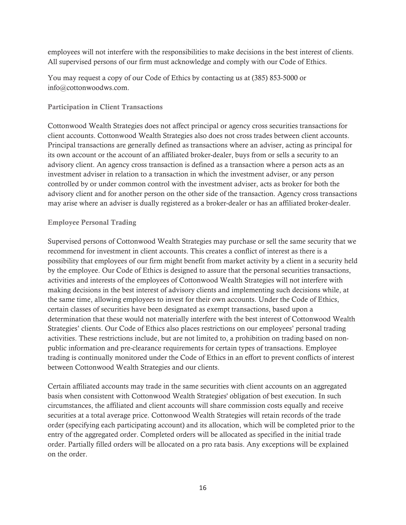employees will not interfere with the responsibilities to make decisions in the best interest of clients. All supervised persons of our firm must acknowledge and comply with our Code of Ethics.

You may request a copy of our Code of Ethics by contacting us at (385) 853-5000 or info@cottonwoodws.com.

#### Participation in Client Transactions

Cottonwood Wealth Strategies does not affect principal or agency cross securities transactions for client accounts. Cottonwood Wealth Strategies also does not cross trades between client accounts. Principal transactions are generally defined as transactions where an adviser, acting as principal for its own account or the account of an affiliated broker-dealer, buys from or sells a security to an advisory client. An agency cross transaction is defined as a transaction where a person acts as an investment adviser in relation to a transaction in which the investment adviser, or any person controlled by or under common control with the investment adviser, acts as broker for both the advisory client and for another person on the other side of the transaction. Agency cross transactions may arise where an adviser is dually registered as a broker-dealer or has an affiliated broker-dealer.

#### Employee Personal Trading

Supervised persons of Cottonwood Wealth Strategies may purchase or sell the same security that we recommend for investment in client accounts. This creates a conflict of interest as there is a possibility that employees of our firm might benefit from market activity by a client in a security held by the employee. Our Code of Ethics is designed to assure that the personal securities transactions, activities and interests of the employees of Cottonwood Wealth Strategies will not interfere with making decisions in the best interest of advisory clients and implementing such decisions while, at the same time, allowing employees to invest for their own accounts. Under the Code of Ethics, certain classes of securities have been designated as exempt transactions, based upon a determination that these would not materially interfere with the best interest of Cottonwood Wealth Strategies' clients. Our Code of Ethics also places restrictions on our employees' personal trading activities. These restrictions include, but are not limited to, a prohibition on trading based on nonpublic information and pre-clearance requirements for certain types of transactions. Employee trading is continually monitored under the Code of Ethics in an effort to prevent conflicts of interest between Cottonwood Wealth Strategies and our clients.

Certain affiliated accounts may trade in the same securities with client accounts on an aggregated basis when consistent with Cottonwood Wealth Strategies' obligation of best execution. In such circumstances, the affiliated and client accounts will share commission costs equally and receive securities at a total average price. Cottonwood Wealth Strategies will retain records of the trade order (specifying each participating account) and its allocation, which will be completed prior to the entry of the aggregated order. Completed orders will be allocated as specified in the initial trade order. Partially filled orders will be allocated on a pro rata basis. Any exceptions will be explained on the order.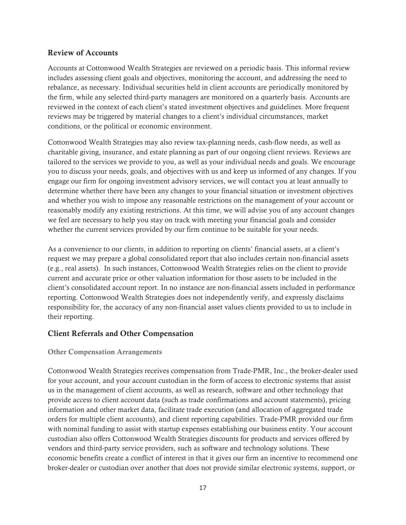#### Review of Accounts

Accounts at Cottonwood Wealth Strategies are reviewed on a periodic basis. This informal review includes assessing client goals and objectives, monitoring the account, and addressing the need to rebalance, as necessary. Individual securities held in client accounts are periodically monitored by the firm, while any selected third-party managers are monitored on a quarterly basis. Accounts are reviewed in the context of each client's stated investment objectives and guidelines. More frequent reviews may be triggered by material changes to a client's individual circumstances, market conditions, or the political or economic environment.

Cottonwood Wealth Strategies may also review tax-planning needs, cash-flow needs, as well as charitable giving, insurance, and estate planning as part of our ongoing client reviews. Reviews are tailored to the services we provide to you, as well as your individual needs and goals. We encourage you to discuss your needs, goals, and objectives with us and keep us informed of any changes. If you engage our firm for ongoing investment advisory services, we will contact you at least annually to determine whether there have been any changes to your financial situation or investment objectives and whether you wish to impose any reasonable restrictions on the management of your account or reasonably modify any existing restrictions. At this time, we will advise you of any account changes we feel are necessary to help you stay on track with meeting your financial goals and consider whether the current services provided by our firm continue to be suitable for your needs.

As a convenience to our clients, in addition to reporting on clients' financial assets, at a client's request we may prepare a global consolidated report that also includes certain non-financial assets (e.g., real assets). In such instances, Cottonwood Wealth Strategies relies on the client to provide current and accurate price or other valuation information for those assets to be included in the client's consolidated account report. In no instance are non-financial assets included in performance reporting. Cottonwood Wealth Strategies does not independently verify, and expressly disclaims responsibility for, the accuracy of any non-financial asset values clients provided to us to include in their reporting.

#### Client Referrals and Other Compensation

#### Other Compensation Arrangements

Cottonwood Wealth Strategies receives compensation from Trade-PMR, Inc., the broker-dealer used for your account, and your account custodian in the form of access to electronic systems that assist us in the management of client accounts, as well as research, software and other technology that provide access to client account data (such as trade confirmations and account statements), pricing information and other market data, facilitate trade execution (and allocation of aggregated trade orders for multiple client accounts), and client reporting capabilities. Trade-PMR provided our firm with nominal funding to assist with startup expenses establishing our business entity. Your account custodian also offers Cottonwood Wealth Strategies discounts for products and services offered by vendors and third-party service providers, such as software and technology solutions. These economic benefits create a conflict of interest in that it gives our firm an incentive to recommend one broker-dealer or custodian over another that does not provide similar electronic systems, support, or